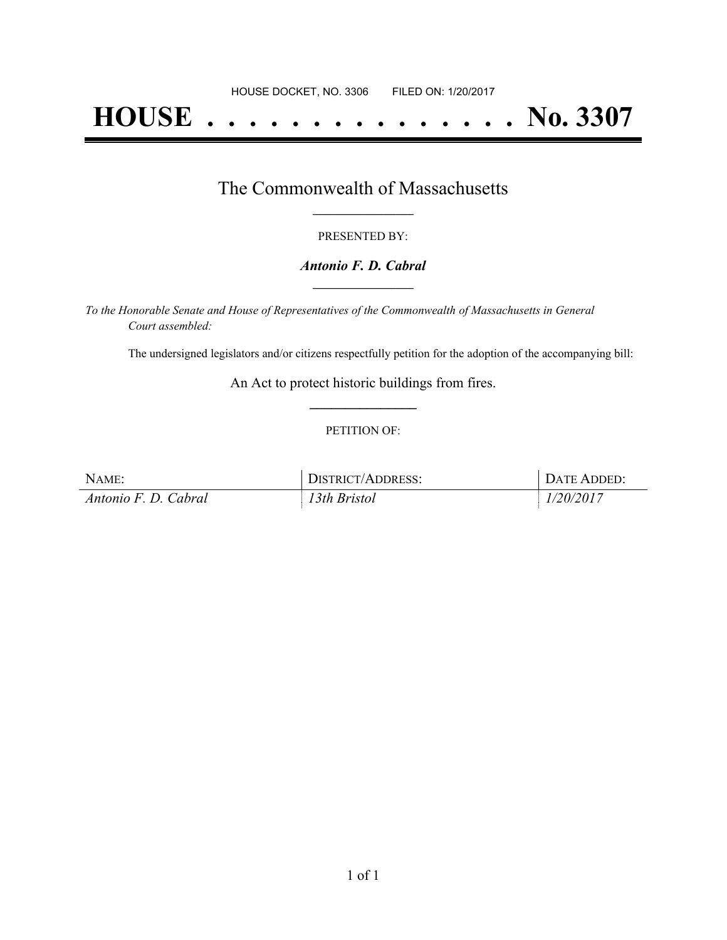# **HOUSE . . . . . . . . . . . . . . . No. 3307**

### The Commonwealth of Massachusetts **\_\_\_\_\_\_\_\_\_\_\_\_\_\_\_\_\_**

#### PRESENTED BY:

#### *Antonio F. D. Cabral* **\_\_\_\_\_\_\_\_\_\_\_\_\_\_\_\_\_**

*To the Honorable Senate and House of Representatives of the Commonwealth of Massachusetts in General Court assembled:*

The undersigned legislators and/or citizens respectfully petition for the adoption of the accompanying bill:

An Act to protect historic buildings from fires. **\_\_\_\_\_\_\_\_\_\_\_\_\_\_\_**

#### PETITION OF:

| NAME:                | DISTRICT/ADDRESS: | DATE ADDED: |
|----------------------|-------------------|-------------|
| Antonio F. D. Cabral | 13th Bristol      | 1/20/2017   |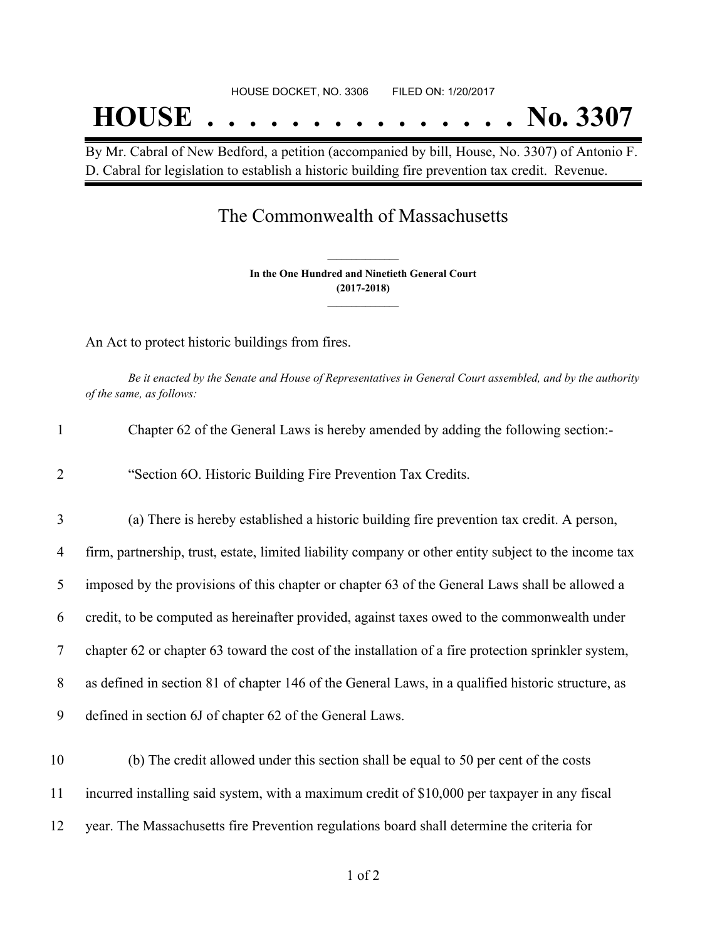## HOUSE DOCKET, NO. 3306 FILED ON: 1/20/2017 **HOUSE . . . . . . . . . . . . . . . No. 3307**

By Mr. Cabral of New Bedford, a petition (accompanied by bill, House, No. 3307) of Antonio F. D. Cabral for legislation to establish a historic building fire prevention tax credit. Revenue.

## The Commonwealth of Massachusetts

**In the One Hundred and Ninetieth General Court (2017-2018) \_\_\_\_\_\_\_\_\_\_\_\_\_\_\_**

**\_\_\_\_\_\_\_\_\_\_\_\_\_\_\_**

An Act to protect historic buildings from fires.

Be it enacted by the Senate and House of Representatives in General Court assembled, and by the authority *of the same, as follows:*

| $\mathbf{1}$   | Chapter 62 of the General Laws is hereby amended by adding the following section:-                    |
|----------------|-------------------------------------------------------------------------------------------------------|
| $\overline{2}$ | "Section 6O. Historic Building Fire Prevention Tax Credits.                                           |
| 3              | (a) There is hereby established a historic building fire prevention tax credit. A person,             |
| 4              | firm, partnership, trust, estate, limited liability company or other entity subject to the income tax |
| 5              | imposed by the provisions of this chapter or chapter 63 of the General Laws shall be allowed a        |
| 6              | credit, to be computed as hereinafter provided, against taxes owed to the commonwealth under          |
| 7              | chapter 62 or chapter 63 toward the cost of the installation of a fire protection sprinkler system,   |
| 8              | as defined in section 81 of chapter 146 of the General Laws, in a qualified historic structure, as    |
| 9              | defined in section 6J of chapter 62 of the General Laws.                                              |
| 10             | (b) The credit allowed under this section shall be equal to 50 per cent of the costs                  |
| 11             | incurred installing said system, with a maximum credit of \$10,000 per taxpayer in any fiscal         |

12 year. The Massachusetts fire Prevention regulations board shall determine the criteria for